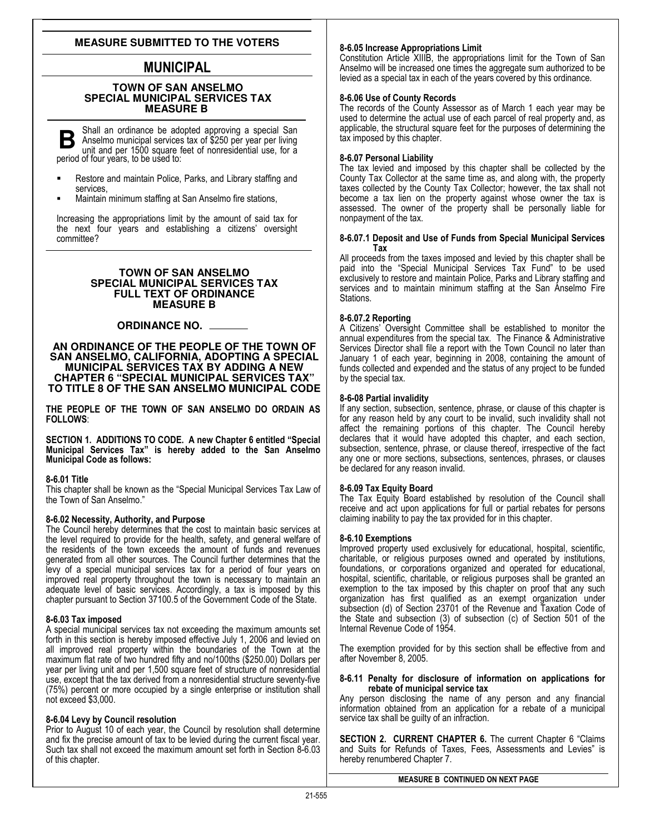# **MEASURE SUBMITTED TO THE VOTERS**

# MUNICIPAL

## **TOWN OF SAN ANSELMO SPECIAL MUNICIPAL SERVICES TAX MEASURE B**

Shall an ordinance be adopted approving a special San **B** Shall an ordinance be adopted approving a special San Anselmo municipal services tax of \$250 per year per living unit and per 1500 square feet of nonresidential use, for a period of four years, to be used to:

- Restore and maintain Police, Parks, and Library staffing and services,
- Maintain minimum staffing at San Anselmo fire stations,

Increasing the appropriations limit by the amount of said tax for the next four years and establishing a citizens' oversight committee?

### **TOWN OF SAN ANSELMO SPECIAL MUNICIPAL SERVICES TAX FULL TEXT OF ORDINANCE MEASURE B**

# **ORDINANCE NO.**

### **AN ORDINANCE OF THE PEOPLE OF THE TOWN OF SAN ANSELMO, CALIFORNIA, ADOPTING A SPECIAL MUNICIPAL SERVICES TAX BY ADDING A NEW CHAPTER 6 "SPECIAL MUNICIPAL SERVICES TAX" TO TITLE 8 OF THE SAN ANSELMO MUNICIPAL CODE**

THE PEOPLE OF THE TOWN OF SAN ANSELMO DO ORDAIN AS FOLLOWS:

SECTION 1. ADDITIONS TO CODE. A new Chapter 6 entitled "Special Municipal Services Tax" is hereby added to the San Anselmo Municipal Code as follows:

# 8-6.01 Title

This chapter shall be known as the "Special Municipal Services Tax Law of the Town of San Anselmo."

# 8-6.02 Necessity, Authority, and Purpose

The Council hereby determines that the cost to maintain basic services at the level required to provide for the health, safety, and general welfare of the residents of the town exceeds the amount of funds and revenues generated from all other sources. The Council further determines that the levy of a special municipal services tax for a period of four years on improved real property throughout the town is necessary to maintain an adequate level of basic services. Accordingly, a tax is imposed by this chapter pursuant to Section 37100.5 of the Government Code of the State.

# 8-6.03 Tax imposed

A special municipal services tax not exceeding the maximum amounts set forth in this section is hereby imposed effective July 1, 2006 and levied on all improved real property within the boundaries of the Town at the maximum flat rate of two hundred fifty and no/100ths (\$250.00) Dollars per year per living unit and per 1,500 square feet of structure of nonresidential use, except that the tax derived from a nonresidential structure seventy-five (75%) percent or more occupied by a single enterprise or institution shall not exceed \$3,000.

# 8-6.04 Levy by Council resolution

Prior to August 10 of each year, the Council by resolution shall determine and fix the precise amount of tax to be levied during the current fiscal year. Such tax shall not exceed the maximum amount set forth in Section 8-6.03 of this chapter.

## 8-6.05 Increase Appropriations Limit

Constitution Article XIIIB, the appropriations limit for the Town of San Anselmo will be increased one times the aggregate sum authorized to be levied as a special tax in each of the years covered by this ordinance.

## 8-6.06 Use of County Records

The records of the County Assessor as of March 1 each year may be used to determine the actual use of each parcel of real property and, as applicable, the structural square feet for the purposes of determining the tax imposed by this chapter.

## 8-6.07 Personal Liability

The tax levied and imposed by this chapter shall be collected by the County Tax Collector at the same time as, and along with, the property taxes collected by the County Tax Collector; however, the tax shall not become a tax lien on the property against whose owner the tax is assessed. The owner of the property shall be personally liable for nonpayment of the tax.

#### 8-6.07.1 Deposit and Use of Funds from Special Municipal Services Tax

All proceeds from the taxes imposed and levied by this chapter shall be paid into the "Special Municipal Services Tax Fund" to be used exclusively to restore and maintain Police, Parks and Library staffing and services and to maintain minimum staffing at the San Anselmo Fire Stations.

## 8-6.07.2 Reporting

A Citizens' Oversight Committee shall be established to monitor the annual expenditures from the special tax. The Finance & Administrative Services Director shall file a report with the Town Council no later than January 1 of each year, beginning in 2008, containing the amount of funds collected and expended and the status of any project to be funded by the special tax.

## 8-6-08 Partial invalidity

If any section, subsection, sentence, phrase, or clause of this chapter is for any reason held by any court to be invalid, such invalidity shall not affect the remaining portions of this chapter. The Council hereby declares that it would have adopted this chapter, and each section, subsection, sentence, phrase, or clause thereof, irrespective of the fact any one or more sections, subsections, sentences, phrases, or clauses be declared for any reason invalid.

### 8-6.09 Tax Equity Board

The Tax Equity Board established by resolution of the Council shall receive and act upon applications for full or partial rebates for persons claiming inability to pay the tax provided for in this chapter.

### 8-6.10 Exemptions

Improved property used exclusively for educational, hospital, scientific, charitable, or religious purposes owned and operated by institutions, foundations, or corporations organized and operated for educational, hospital, scientific, charitable, or religious purposes shall be granted an exemption to the tax imposed by this chapter on proof that any such organization has first qualified as an exempt organization under subsection (d) of Section 23701 of the Revenue and Taxation Code of the State and subsection (3) of subsection (c) of Section 501 of the Internal Revenue Code of 1954.

The exemption provided for by this section shall be effective from and after November 8, 2005.

#### 8-6.11 Penalty for disclosure of information on applications for rebate of municipal service tax

Any person disclosing the name of any person and any financial information obtained from an application for a rebate of a municipal service tax shall be guilty of an infraction.

SECTION 2. CURRENT CHAPTER 6. The current Chapter 6 "Claims and Suits for Refunds of Taxes, Fees, Assessments and Levies" is hereby renumbered Chapter 7.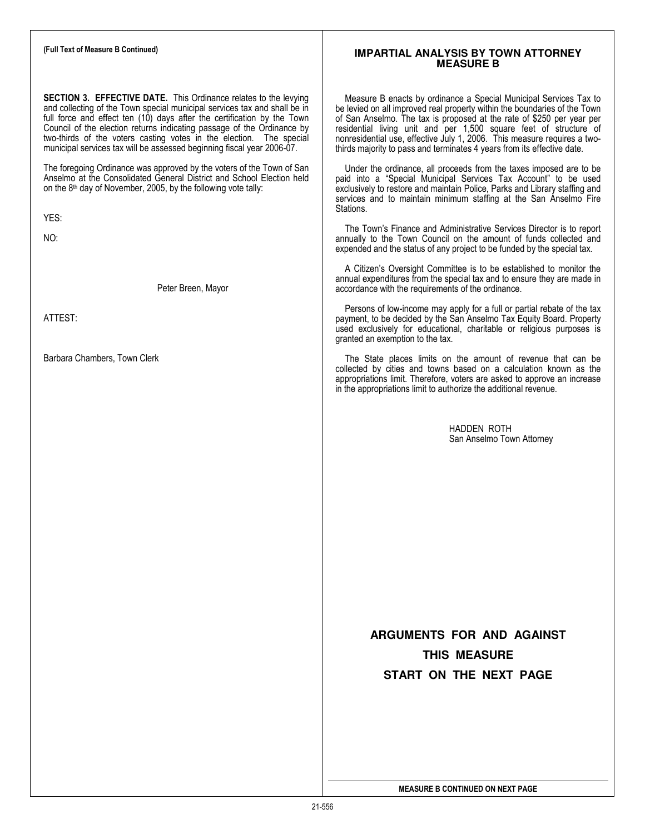# (Full Text of Measure B Continued) SECTION 3. EFFECTIVE DATE. This Ordinance relates to the levying and collecting of the Town special municipal services tax and shall be in full force and effect ten (10) days after the certification by the Town Council of the election returns indicating passage of the Ordinance by two-thirds of the voters casting votes in the election. The special municipal services tax will be assessed beginning fiscal year 2006-07. The foregoing Ordinance was approved by the voters of the Town of San Anselmo at the Consolidated General District and School Election held on the  $8<sup>th</sup>$  day of November, 2005, by the following vote tally: YES: NO: Peter Breen, Mayor ATTEST: Barbara Chambers, Town Clerk **IMPARTIAL ANALYSIS BY TOWN ATTORNEY MEASURE B**  Measure B enacts by ordinance a Special Municipal Services Tax to be levied on all improved real property within the boundaries of the Town of San Anselmo. The tax is proposed at the rate of \$250 per year per residential living unit and per 1,500 square feet of structure of nonresidential use, effective July 1, 2006. This measure requires a twothirds majority to pass and terminates 4 years from its effective date. Under the ordinance, all proceeds from the taxes imposed are to be paid into a "Special Municipal Services Tax Account" to be used exclusively to restore and maintain Police, Parks and Library staffing and services and to maintain minimum staffing at the San Anselmo Fire Stations. The Town's Finance and Administrative Services Director is to report annually to the Town Council on the amount of funds collected and expended and the status of any project to be funded by the special tax. A Citizen's Oversight Committee is to be established to monitor the annual expenditures from the special tax and to ensure they are made in accordance with the requirements of the ordinance. Persons of low-income may apply for a full or partial rebate of the tax payment, to be decided by the San Anselmo Tax Equity Board. Property used exclusively for educational, charitable or religious purposes is granted an exemption to the tax. The State places limits on the amount of revenue that can be collected by cities and towns based on a calculation known as the appropriations limit. Therefore, voters are asked to approve an increase in the appropriations limit to authorize the additional revenue. HADDEN ROTH San Anselmo Town Attorney **ARGUMENTS FOR AND AGAINST THIS MEASURE START ON THE NEXT PAGE** MEASURE B CONTINUED ON NEXT PAGE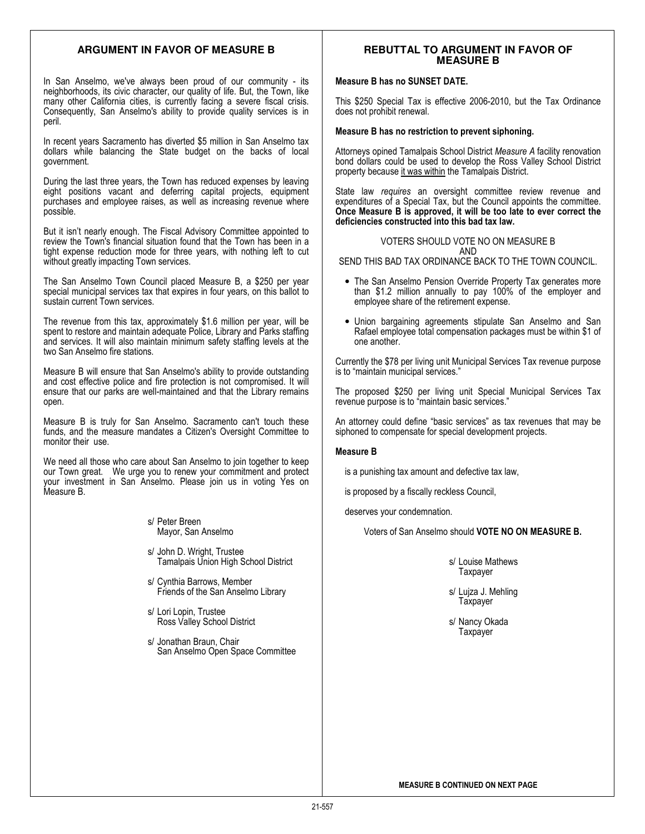## **ARGUMENT IN FAVOR OF MEASURE B**

In San Anselmo, we've always been proud of our community - its neighborhoods, its civic character, our quality of life. But, the Town, like many other California cities, is currently facing a severe fiscal crisis. Consequently, San Anselmo's ability to provide quality services is in peril.

In recent years Sacramento has diverted \$5 million in San Anselmo tax dollars while balancing the State budget on the backs of local government.

During the last three years, the Town has reduced expenses by leaving eight positions vacant and deferring capital projects, equipment purchases and employee raises, as well as increasing revenue where possible.

But it isn't nearly enough. The Fiscal Advisory Committee appointed to review the Town's financial situation found that the Town has been in a tight expense reduction mode for three years, with nothing left to cut without greatly impacting Town services.

The San Anselmo Town Council placed Measure B, a \$250 per year special municipal services tax that expires in four years, on this ballot to sustain current Town services.

The revenue from this tax, approximately \$1.6 million per year, will be spent to restore and maintain adequate Police, Library and Parks staffing and services. It will also maintain minimum safety staffing levels at the two San Anselmo fire stations.

Measure B will ensure that San Anselmo's ability to provide outstanding and cost effective police and fire protection is not compromised. It will ensure that our parks are well-maintained and that the Library remains open.

Measure B is truly for San Anselmo. Sacramento can't touch these funds, and the measure mandates a Citizen's Oversight Committee to monitor their use.

We need all those who care about San Anselmo to join together to keep our Town great. We urge you to renew your commitment and protect your investment in San Anselmo. Please join us in voting Yes on Measure B.

> s/ Peter Breen Mayor, San Anselmo

- s/ John D. Wright, Trustee Tamalpais Union High School District
- s/ Cynthia Barrows, Member Friends of the San Anselmo Library
- s/ Lori Lopin, Trustee Ross Valley School District
- s/ Jonathan Braun, Chair San Anselmo Open Space Committee

# **REBUTTAL TO ARGUMENT IN FAVOR OF MEASURE B**

## Measure B has no SUNSET DATE.

This \$250 Special Tax is effective 2006-2010, but the Tax Ordinance does not prohibit renewal.

#### Measure B has no restriction to prevent siphoning.

Attorneys opined Tamalpais School District Measure A facility renovation bond dollars could be used to develop the Ross Valley School District property because it was within the Tamalpais District.

State law requires an oversight committee review revenue and expenditures of a Special Tax, but the Council appoints the committee. Once Measure B is approved, it will be too late to ever correct the deficiencies constructed into this bad tax law.

VOTERS SHOULD VOTE NO ON MEASURE B AND SEND THIS BAD TAX ORDINANCE BACK TO THE TOWN COUNCIL.

- 
- The San Anselmo Pension Override Property Tax generates more than \$1.2 million annually to pay 100% of the employer and employee share of the retirement expense.
- Union bargaining agreements stipulate San Anselmo and San Rafael employee total compensation packages must be within \$1 of one another.

Currently the \$78 per living unit Municipal Services Tax revenue purpose is to "maintain municipal services."

The proposed \$250 per living unit Special Municipal Services Tax revenue purpose is to "maintain basic services."

An attorney could define "basic services" as tax revenues that may be siphoned to compensate for special development projects.

### Measure B

is a punishing tax amount and defective tax law,

is proposed by a fiscally reckless Council,

deserves your condemnation.

Voters of San Anselmo should VOTE NO ON MEASURE B.

s/ Louise Mathews Taxpayer

s/ Lujza J. Mehling **Taxpayer** 

s/ Nancy Okada **Taxpayer**